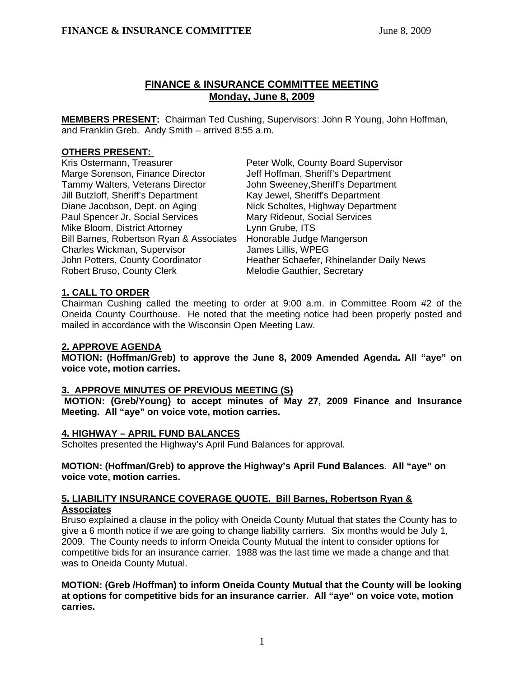# **FINANCE & INSURANCE COMMITTEE MEETING Monday, June 8, 2009**

**MEMBERS PRESENT:** Chairman Ted Cushing, Supervisors: John R Young, John Hoffman, and Franklin Greb. Andy Smith – arrived 8:55 a.m.

## **OTHERS PRESENT:**

Kris Ostermann, Treasurer **Peter Wolk, County Board Supervisor** Marge Sorenson, Finance Director Jeff Hoffman, Sheriff's Department Tammy Walters, Veterans Director John Sweeney,Sheriff's Department Jill Butzloff, Sheriff's Department Kay Jewel, Sheriff's Department Diane Jacobson, Dept. on Aging Nick Scholtes, Highway Department Paul Spencer Jr, Social Services Mary Rideout, Social Services Mike Bloom, District Attorney **Lynn Grube, ITS** Bill Barnes, Robertson Ryan & Associates Honorable Judge Mangerson Charles Wickman, Supervisor James Lillis, WPEG John Potters, County Coordinator **Heather Schaefer, Rhinelander Daily News** Robert Bruso, County Clerk Melodie Gauthier, Secretary

# **1. CALL TO ORDER**

Chairman Cushing called the meeting to order at 9:00 a.m. in Committee Room #2 of the Oneida County Courthouse. He noted that the meeting notice had been properly posted and mailed in accordance with the Wisconsin Open Meeting Law.

# **2. APPROVE AGENDA**

**MOTION: (Hoffman/Greb) to approve the June 8, 2009 Amended Agenda. All "aye" on voice vote, motion carries.** 

# **3. APPROVE MINUTES OF PREVIOUS MEETING (S)**

 **MOTION: (Greb/Young) to accept minutes of May 27, 2009 Finance and Insurance Meeting. All "aye" on voice vote, motion carries.** 

# **4. HIGHWAY – APRIL FUND BALANCES**

Scholtes presented the Highway's April Fund Balances for approval.

**MOTION: (Hoffman/Greb) to approve the Highway's April Fund Balances. All "aye" on voice vote, motion carries.** 

# **5. LIABILITY INSURANCE COVERAGE QUOTE. Bill Barnes, Robertson Ryan & Associates**

Bruso explained a clause in the policy with Oneida County Mutual that states the County has to give a 6 month notice if we are going to change liability carriers. Six months would be July 1, 2009. The County needs to inform Oneida County Mutual the intent to consider options for competitive bids for an insurance carrier. 1988 was the last time we made a change and that was to Oneida County Mutual.

**MOTION: (Greb /Hoffman) to inform Oneida County Mutual that the County will be looking at options for competitive bids for an insurance carrier. All "aye" on voice vote, motion carries.**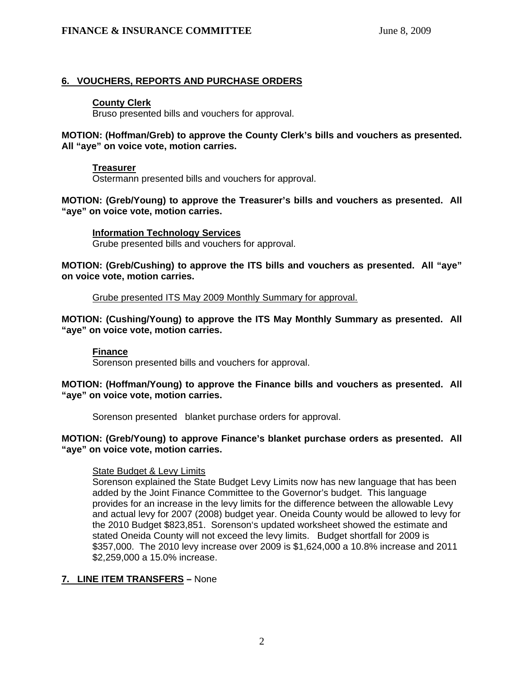# **6. VOUCHERS, REPORTS AND PURCHASE ORDERS**

### **County Clerk**

Bruso presented bills and vouchers for approval.

**MOTION: (Hoffman/Greb) to approve the County Clerk's bills and vouchers as presented. All "aye" on voice vote, motion carries.** 

#### **Treasurer**

Ostermann presented bills and vouchers for approval.

**MOTION: (Greb/Young) to approve the Treasurer's bills and vouchers as presented. All "aye" on voice vote, motion carries.** 

#### **Information Technology Services**

Grube presented bills and vouchers for approval.

**MOTION: (Greb/Cushing) to approve the ITS bills and vouchers as presented. All "aye" on voice vote, motion carries.** 

#### Grube presented ITS May 2009 Monthly Summary for approval.

**MOTION: (Cushing/Young) to approve the ITS May Monthly Summary as presented. All "aye" on voice vote, motion carries.** 

# **Finance**

Sorenson presented bills and vouchers for approval.

## **MOTION: (Hoffman/Young) to approve the Finance bills and vouchers as presented. All "aye" on voice vote, motion carries.**

Sorenson presented blanket purchase orders for approval.

## **MOTION: (Greb/Young) to approve Finance's blanket purchase orders as presented. All "aye" on voice vote, motion carries.**

#### State Budget & Levy Limits

Sorenson explained the State Budget Levy Limits now has new language that has been added by the Joint Finance Committee to the Governor's budget. This language provides for an increase in the levy limits for the difference between the allowable Levy and actual levy for 2007 (2008) budget year. Oneida County would be allowed to levy for the 2010 Budget \$823,851. Sorenson's updated worksheet showed the estimate and stated Oneida County will not exceed the levy limits. Budget shortfall for 2009 is \$357,000. The 2010 levy increase over 2009 is \$1,624,000 a 10.8% increase and 2011 \$2,259,000 a 15.0% increase.

# **7. LINE ITEM TRANSFERS –** None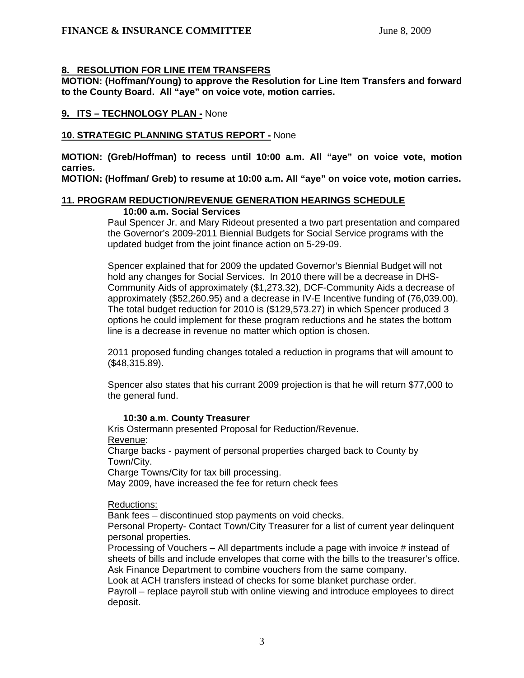# **8. RESOLUTION FOR LINE ITEM TRANSFERS**

**MOTION: (Hoffman/Young) to approve the Resolution for Line Item Transfers and forward to the County Board. All "aye" on voice vote, motion carries.** 

## **9. ITS – TECHNOLOGY PLAN -** None

## **10. STRATEGIC PLANNING STATUS REPORT -** None

**MOTION: (Greb/Hoffman) to recess until 10:00 a.m. All "aye" on voice vote, motion carries.** 

**MOTION: (Hoffman/ Greb) to resume at 10:00 a.m. All "aye" on voice vote, motion carries.** 

### **11. PROGRAM REDUCTION/REVENUE GENERATION HEARINGS SCHEDULE**

## **10:00 a.m. Social Services**

Paul Spencer Jr. and Mary Rideout presented a two part presentation and compared the Governor's 2009-2011 Biennial Budgets for Social Service programs with the updated budget from the joint finance action on 5-29-09.

Spencer explained that for 2009 the updated Governor's Biennial Budget will not hold any changes for Social Services. In 2010 there will be a decrease in DHS-Community Aids of approximately (\$1,273.32), DCF-Community Aids a decrease of approximately (\$52,260.95) and a decrease in IV-E Incentive funding of (76,039.00). The total budget reduction for 2010 is (\$129,573.27) in which Spencer produced 3 options he could implement for these program reductions and he states the bottom line is a decrease in revenue no matter which option is chosen.

2011 proposed funding changes totaled a reduction in programs that will amount to (\$48,315.89).

Spencer also states that his currant 2009 projection is that he will return \$77,000 to the general fund.

#### **10:30 a.m. County Treasurer**

Kris Ostermann presented Proposal for Reduction/Revenue. Revenue: Charge backs - payment of personal properties charged back to County by Town/City. Charge Towns/City for tax bill processing. May 2009, have increased the fee for return check fees

Reductions:

Bank fees – discontinued stop payments on void checks.

Personal Property- Contact Town/City Treasurer for a list of current year delinquent personal properties.

Processing of Vouchers – All departments include a page with invoice # instead of sheets of bills and include envelopes that come with the bills to the treasurer's office. Ask Finance Department to combine vouchers from the same company.

Look at ACH transfers instead of checks for some blanket purchase order. Payroll – replace payroll stub with online viewing and introduce employees to direct deposit.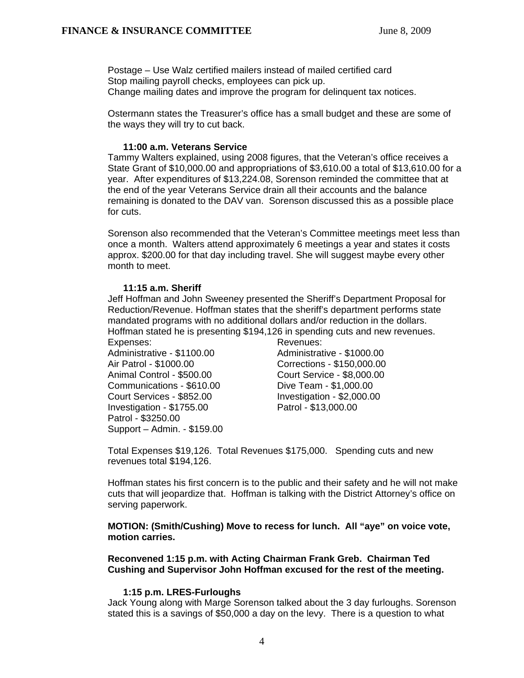Postage – Use Walz certified mailers instead of mailed certified card Stop mailing payroll checks, employees can pick up. Change mailing dates and improve the program for delinquent tax notices.

Ostermann states the Treasurer's office has a small budget and these are some of the ways they will try to cut back.

#### **11:00 a.m. Veterans Service**

Tammy Walters explained, using 2008 figures, that the Veteran's office receives a State Grant of \$10,000.00 and appropriations of \$3,610.00 a total of \$13,610.00 for a year. After expenditures of \$13,224.08, Sorenson reminded the committee that at the end of the year Veterans Service drain all their accounts and the balance remaining is donated to the DAV van. Sorenson discussed this as a possible place for cuts.

Sorenson also recommended that the Veteran's Committee meetings meet less than once a month. Walters attend approximately 6 meetings a year and states it costs approx. \$200.00 for that day including travel. She will suggest maybe every other month to meet.

#### **11:15 a.m. Sheriff**

Jeff Hoffman and John Sweeney presented the Sheriff's Department Proposal for Reduction/Revenue. Hoffman states that the sheriff's department performs state mandated programs with no additional dollars and/or reduction in the dollars. Hoffman stated he is presenting \$194,126 in spending cuts and new revenues. Expenses: Revenues:

Administrative - \$1100.00 Administrative - \$1000.00 Air Patrol - \$1000.00 Corrections - \$150,000.00 Animal Control - \$500.00 Court Service - \$8,000.00 Communications - \$610.00 Dive Team - \$1,000.00 Court Services - \$852.00 Investigation - \$2,000.00 Investigation - \$1755.00 Patrol - \$13,000.00 Patrol - \$3250.00 Support – Admin. - \$159.00

Total Expenses \$19,126. Total Revenues \$175,000. Spending cuts and new revenues total \$194,126.

Hoffman states his first concern is to the public and their safety and he will not make cuts that will jeopardize that. Hoffman is talking with the District Attorney's office on serving paperwork.

**MOTION: (Smith/Cushing) Move to recess for lunch. All "aye" on voice vote, motion carries.** 

**Reconvened 1:15 p.m. with Acting Chairman Frank Greb. Chairman Ted Cushing and Supervisor John Hoffman excused for the rest of the meeting.** 

#### **1:15 p.m. LRES-Furloughs**

Jack Young along with Marge Sorenson talked about the 3 day furloughs. Sorenson stated this is a savings of \$50,000 a day on the levy. There is a question to what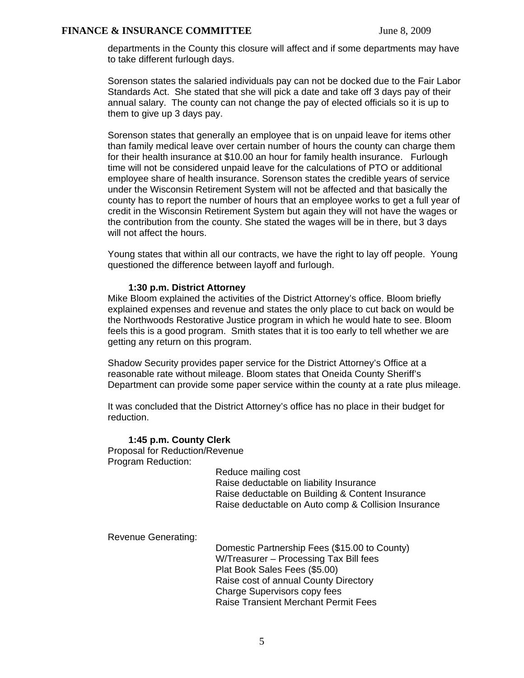## **FINANCE & INSURANCE COMMITTEE** June 8, 2009

departments in the County this closure will affect and if some departments may have to take different furlough days.

Sorenson states the salaried individuals pay can not be docked due to the Fair Labor Standards Act. She stated that she will pick a date and take off 3 days pay of their annual salary. The county can not change the pay of elected officials so it is up to them to give up 3 days pay.

Sorenson states that generally an employee that is on unpaid leave for items other than family medical leave over certain number of hours the county can charge them for their health insurance at \$10.00 an hour for family health insurance. Furlough time will not be considered unpaid leave for the calculations of PTO or additional employee share of health insurance. Sorenson states the credible years of service under the Wisconsin Retirement System will not be affected and that basically the county has to report the number of hours that an employee works to get a full year of credit in the Wisconsin Retirement System but again they will not have the wages or the contribution from the county. She stated the wages will be in there, but 3 days will not affect the hours.

Young states that within all our contracts, we have the right to lay off people. Young questioned the difference between layoff and furlough.

#### **1:30 p.m. District Attorney**

Mike Bloom explained the activities of the District Attorney's office. Bloom briefly explained expenses and revenue and states the only place to cut back on would be the Northwoods Restorative Justice program in which he would hate to see. Bloom feels this is a good program. Smith states that it is too early to tell whether we are getting any return on this program.

Shadow Security provides paper service for the District Attorney's Office at a reasonable rate without mileage. Bloom states that Oneida County Sheriff's Department can provide some paper service within the county at a rate plus mileage.

It was concluded that the District Attorney's office has no place in their budget for reduction.

#### **1:45 p.m. County Clerk**

Proposal for Reduction/Revenue Program Reduction:

> Reduce mailing cost Raise deductable on liability Insurance Raise deductable on Building & Content Insurance Raise deductable on Auto comp & Collision Insurance

Revenue Generating:

 Domestic Partnership Fees (\$15.00 to County) W/Treasurer – Processing Tax Bill fees Plat Book Sales Fees (\$5.00) Raise cost of annual County Directory Charge Supervisors copy fees Raise Transient Merchant Permit Fees